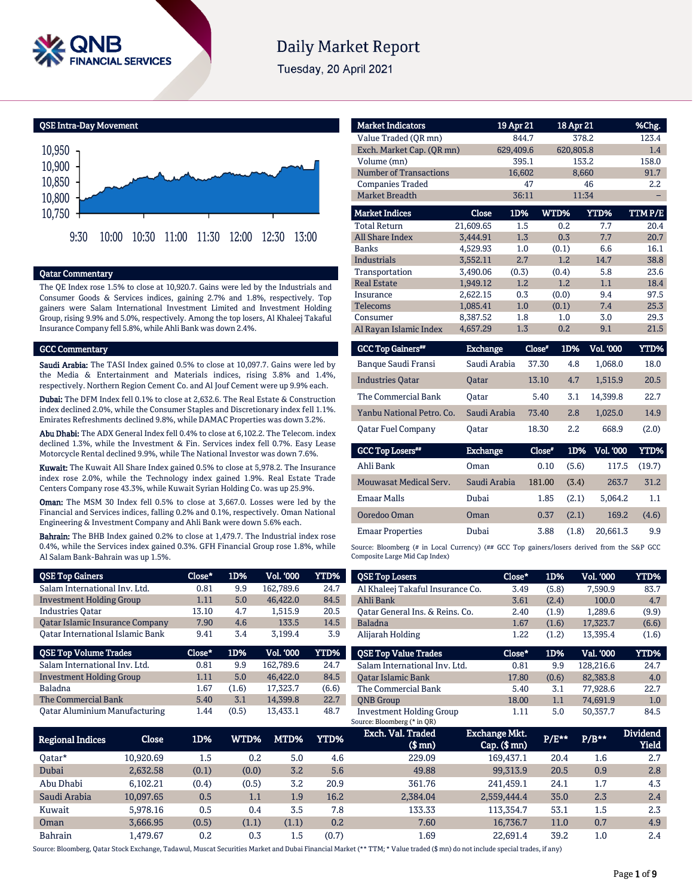

# **Daily Market Report**

Tuesday, 20 April 2021

QSE Intra-Day Movement



## Qatar Commentary

The QE Index rose 1.5% to close at 10,920.7. Gains were led by the Industrials and Consumer Goods & Services indices, gaining 2.7% and 1.8%, respectively. Top gainers were Salam International Investment Limited and Investment Holding Group, rising 9.9% and 5.0%, respectively. Among the top losers, Al Khaleej Takaful Insurance Company fell 5.8%, while Ahli Bank was down 2.4%.

## GCC Commentary

Saudi Arabia: The TASI Index gained 0.5% to close at 10,097.7. Gains were led by the Media & Entertainment and Materials indices, rising 3.8% and 1.4%, respectively. Northern Region Cement Co. and Al Jouf Cement were up 9.9% each.

Dubai: The DFM Index fell 0.1% to close at 2,632.6. The Real Estate & Construction index declined 2.0%, while the Consumer Staples and Discretionary index fell 1.1%. Emirates Refreshments declined 9.8%, while DAMAC Properties was down 3.2%.

Abu Dhabi: The ADX General Index fell 0.4% to close at 6,102.2. The Telecom. index declined 1.3%, while the Investment & Fin. Services index fell 0.7%. Easy Lease Motorcycle Rental declined 9.9%, while The National Investor was down 7.6%.

Kuwait: The Kuwait All Share Index gained 0.5% to close at 5,978.2. The Insurance index rose 2.0%, while the Technology index gained 1.9%. Real Estate Trade Centers Company rose 43.3%, while Kuwait Syrian Holding Co. was up 25.9%.

Oman: The MSM 30 Index fell 0.5% to close at 3,667.0. Losses were led by the Financial and Services indices, falling 0.2% and 0.1%, respectively. Oman National Engineering & Investment Company and Ahli Bank were down 5.6% each.

Bahrain: The BHB Index gained 0.2% to close at 1,479.7. The Industrial index rose 0.4%, while the Services index gained 0.3%. GFH Financial Group rose 1.8%, while Al Salam Bank-Bahrain was up 1.5%.

| <b>QSE Top Gainers</b>                  | Close* | 1D%   | Vol. '000        | <b>YTD%</b> |
|-----------------------------------------|--------|-------|------------------|-------------|
| Salam International Inv. Ltd.           | 0.81   | 9.9   | 162,789.6        | 24.7        |
| <b>Investment Holding Group</b>         | 1.11   | 5.0   | 46.422.0         | 84.5        |
| <b>Industries Oatar</b>                 | 13.10  | 4.7   | 1.515.9          | 20.5        |
| Qatar Islamic Insurance Company         | 7.90   | 4.6   | 133.5            | 14.5        |
| <b>Oatar International Islamic Bank</b> | 9.41   | 3.4   | 3.199.4          | 3.9         |
|                                         |        |       |                  |             |
| <b>QSE Top Volume Trades</b>            | Close* | 1D%   | <b>Vol. '000</b> | YTD%        |
| Salam International Inv. Ltd.           | 0.81   | 9.9   | 162.789.6        | 24.7        |
| <b>Investment Holding Group</b>         | 1.11   | 5.0   | 46,422.0         | 84.5        |
| Baladna                                 | 1.67   | (1.6) | 17,323.7         | (6.6)       |
| The Commercial Bank                     | 5.40   | 3.1   | 14,399.8         | 22.7        |

| <b>Market Indicators</b>      |           | 19 Apr 21 | 18 Apr 21  |              | %Chg.                |
|-------------------------------|-----------|-----------|------------|--------------|----------------------|
| Value Traded (OR mn)          |           | 844.7     |            | 378.2        | 123.4                |
| Exch. Market Cap. (QR mn)     |           | 629,409.6 | 620,805.8  |              | 1.4                  |
| Volume (mn)                   |           | 395.1     |            | 153.2        | 158.0                |
| <b>Number of Transactions</b> |           | 16,602    |            | 8,660        | 91.7                 |
| <b>Companies Traded</b>       |           | 47        |            | 46           | 2.2                  |
| <b>Market Breadth</b>         |           | 36:11     |            | 11:34        |                      |
| <b>Market Indices</b>         | Close     | 1D%       | WTD%       | <b>YTD%</b>  | TTM P/E              |
| <b>Total Return</b>           | 21.609.65 | 1.5       | 0.2        | 7.7          | 20.4                 |
| <b>All Share Index</b>        | 3.444.91  | 1.3       | 0.3        | 7.7          | 20.7                 |
| <b>Banks</b>                  | 4,529.93  | 1.0       | (0.1)      | 6.6          | 16.1                 |
| <b>Industrials</b>            | 3,552.11  | 2.7       | 1.2        | 14.7         | 38.8                 |
| Transportation                | 3,490.06  | (0.3)     | (0.4)      | 5.8          | 23.6                 |
| <b>Real Estate</b>            | 1,949.12  | 1.2       | 1.2        | 1.1          | 18.4                 |
| Insurance                     | 2,622.15  | 0.3       | (0.0)      | 9.4          | 97.5                 |
| <b>Telecoms</b>               | 1,085.41  | 1.0       | (0.1)      | 7.4          | 25.3                 |
| Consumer                      | 8,387.52  | 1.8       | 1.0        | 3.0          | 29.3                 |
| Al Rayan Islamic Index        | 4,657.29  | 1.3       | 0.2        | 9.1          | 21.5                 |
| $0.00001 - 0.3331$            | $T = 1$   |           | m #<br>100 | $T = 1$ inna | <b><i>Import</i></b> |

| <b>GCC Top Gainers</b> "  | <b>Exchange</b> | Close* | 1D% | Vol. '000 | YTD%  |
|---------------------------|-----------------|--------|-----|-----------|-------|
| Banque Saudi Fransi       | Saudi Arabia    | 37.30  | 4.8 | 1.068.0   | 18.0  |
| <b>Industries Oatar</b>   | <b>Oatar</b>    | 13.10  | 4.7 | 1.515.9   | 20.5  |
| The Commercial Bank       | Oatar           | 5.40   | 3.1 | 14.399.8  | 22.7  |
| Yanbu National Petro, Co. | Saudi Arabia    | 73.40  | 2.8 | 1.025.0   | 14.9  |
| <b>Oatar Fuel Company</b> | <b>Oatar</b>    | 18.30  | 2.2 | 668.9     | (2.0) |
|                           |                 |        |     |           |       |

| <b>GCC Top Losers**</b> | <b>Exchange</b> | Close* | 1D% - | Vol. '000 | YTD%   |
|-------------------------|-----------------|--------|-------|-----------|--------|
| Ahli Bank               | Oman            | 0.10   | (5.6) | 117.5     | (19.7) |
| Mouwasat Medical Serv.  | Saudi Arabia    | 181.00 | (3.4) | 263.7     | 31.2   |
| <b>Emaar Malls</b>      | Dubai           | 1.85   | (2.1) | 5.064.2   | 1.1    |
| Ooredoo Oman            | Oman            | 0.37   | (2.1) | 169.2     | (4.6)  |
| <b>Emaar Properties</b> | Dubai           | 3.88   | (1.8) | 20.661.3  | 9.9    |

Source: Bloomberg (# in Local Currency) (## GCC Top gainers/losers derived from the S&P GCC Composite Large Mid Cap Index)

| <b>QSE Top Losers</b>            | Close* | 1D%   | <b>Vol. '000</b> | YTD%        |
|----------------------------------|--------|-------|------------------|-------------|
| Al Khaleej Takaful Insurance Co. | 3.49   | (5.8) | 7.590.9          | 83.7        |
| Ahli Bank                        | 3.61   | (2.4) | 100.0            | 4.7         |
| Oatar General Ins. & Reins. Co.  | 2.40   | (1.9) | 1.289.6          | (9.9)       |
| <b>Baladna</b>                   | 1.67   | (1.6) | 17.323.7         | (6.6)       |
| Alijarah Holding                 | 1.22   | (1.2) | 13.395.4         | (1.6)       |
|                                  |        |       |                  |             |
| <b>OSE Top Value Trades</b>      | Close* | 1D%   | Val. '000        | <b>YTD%</b> |
| Salam International Inv. Ltd.    | 0.81   | 9.9   | 128.216.6        | 24.7        |
| <b>Oatar Islamic Bank</b>        | 17.80  | (0.6) | 82.383.8         | 4.0         |
| The Commercial Bank              | 5.40   | 3.1   | 77.928.6         | 22.7        |
| <b>ONB</b> Group                 | 18.00  | 1.1   | 74.691.9         | 1.0         |

| <b>Regional Indices</b> | Close     | 1D%   | WTD%  | MTD%  | <b>YTD%</b> | Exch. Val. Traded<br>$(S \text{ mn})$ | <b>Exchange Mkt.</b><br>$Cap.$ (\$ mn) | P/E** | $P/B***$ | <b>Dividend</b><br>Yield |
|-------------------------|-----------|-------|-------|-------|-------------|---------------------------------------|----------------------------------------|-------|----------|--------------------------|
| Oatar*                  | 10.920.69 | 1.5   | 0.2   | 5.0   | 4.6         | 229.09                                | 169.437.1                              | 20.4  | 1.6      | 2.7                      |
| Dubai                   | 2.632.58  | (0.1) | (0.0) | 3.2   | 5.6         | 49.88                                 | 99.313.9                               | 20.5  | 0.9      | 2.8                      |
| Abu Dhabi               | 6.102.21  | (0.4) | (0.5) | 3.2   | 20.9        | 361.76                                | 241.459.1                              | 24.1  | 1.7      | 4.3                      |
| Saudi Arabia            | 10.097.65 | 0.5   | 1.1   | 1.9   | 16.2        | 2.384.04                              | 2.559.444.4                            | 35.0  | 2.3      | 2.4                      |
| Kuwait                  | 5.978.16  | 0.5   | 0.4   | 3.5   | 7.8         | 133.33                                | 113.354.7                              | 53.1  | 1.5      | 2.3                      |
| Oman                    | 3.666.95  | (0.5) | (1.1) | (1.1) | 0.2         | 7.60                                  | 16.736.7                               | 11.0  | 0.7      | 4.9                      |
| Bahrain                 | L.479.67  | 0.2   | 0.3   | 1.5   | (0.7)       | 1.69                                  | 22.691.4                               | 39.2  | 1.0      | 2.4                      |

Source: Bloomberg, Qatar Stock Exchange, Tadawul, Muscat Securities Market and Dubai Financial Market (\*\* TTM; \* Value traded (\$ mn) do not include special trades, if any)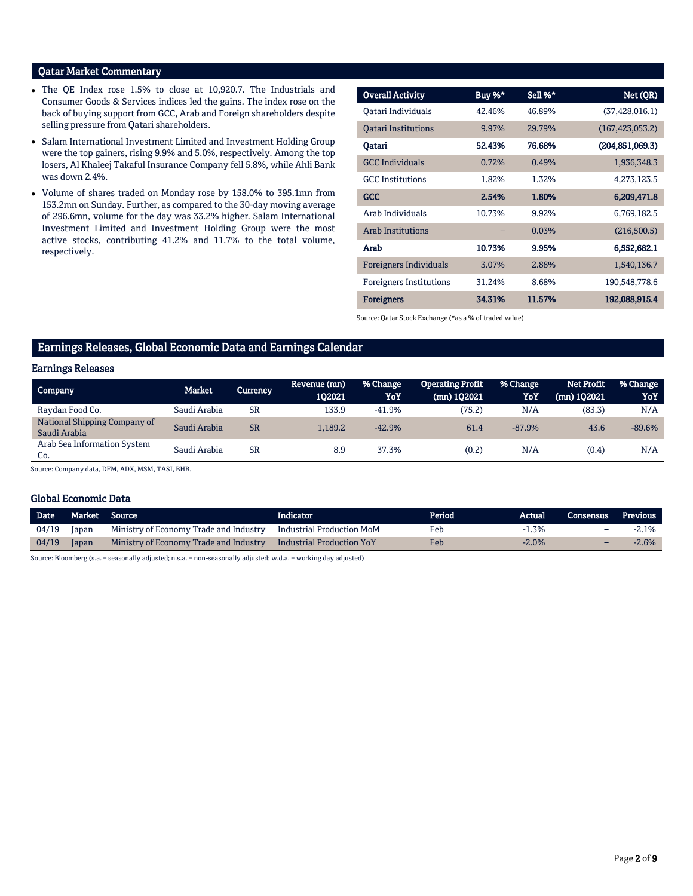## Qatar Market Commentary

- The QE Index rose 1.5% to close at 10,920.7. The Industrials and Consumer Goods & Services indices led the gains. The index rose on the back of buying support from GCC, Arab and Foreign shareholders despite selling pressure from Qatari shareholders.
- Salam International Investment Limited and Investment Holding Group were the top gainers, rising 9.9% and 5.0%, respectively. Among the top losers, Al Khaleej Takaful Insurance Company fell 5.8%, while Ahli Bank was down 2.4%.
- Volume of shares traded on Monday rose by 158.0% to 395.1mn from 153.2mn on Sunday. Further, as compared to the 30-day moving average of 296.6mn, volume for the day was 33.2% higher. Salam International Investment Limited and Investment Holding Group were the most active stocks, contributing 41.2% and 11.7% to the total volume, respectively.

| <b>Overall Activity</b>        | Buy %* | Sell %* | Net (QR)          |
|--------------------------------|--------|---------|-------------------|
| Oatari Individuals             | 42.46% | 46.89%  | (37, 428, 016.1)  |
| <b>Oatari Institutions</b>     | 9.97%  | 29.79%  | (167, 423, 053.2) |
| Qatari                         | 52.43% | 76.68%  | (204, 851, 069.3) |
| <b>GCC</b> Individuals         | 0.72%  | 0.49%   | 1,936,348.3       |
| <b>GCC</b> Institutions        | 1.82%  | 1.32%   | 4,273,123.5       |
| <b>GCC</b>                     | 2.54%  | 1.80%   | 6,209,471.8       |
| Arab Individuals               | 10.73% | 9.92%   | 6,769,182.5       |
| <b>Arab Institutions</b>       |        | 0.03%   | (216,500.5)       |
| Arab                           | 10.73% | 9.95%   | 6,552,682.1       |
| <b>Foreigners Individuals</b>  | 3.07%  | 2.88%   | 1,540,136.7       |
| <b>Foreigners Institutions</b> | 31.24% | 8.68%   | 190,548,778.6     |
| <b>Foreigners</b>              | 34.31% | 11.57%  | 192,088,915.4     |

Source: Qatar Stock Exchange (\*as a % of traded value)

## Earnings Releases, Global Economic Data and Earnings Calendar

## Earnings Releases

| <b>Company</b>                               | <b>Market</b> | Currencv  | Revenue (mn)<br>102021 | % Change<br>YoY | <b>Operating Profit</b><br>(mn) 102021 | % Change<br>YoY | <b>Net Profit</b><br>$(mn)$ 102021 | % Change<br>YoY |
|----------------------------------------------|---------------|-----------|------------------------|-----------------|----------------------------------------|-----------------|------------------------------------|-----------------|
| Raydan Food Co.                              | Saudi Arabia  | SR        | 133.9                  | $-41.9%$        | (75.2)                                 | N/A             | (83.3)                             | N/A             |
| National Shipping Company of<br>Saudi Arabia | Saudi Arabia  | <b>SR</b> | 1.189.2                | $-42.9%$        | 61.4                                   | $-87.9%$        | 43.6                               | $-89.6%$        |
| Arab Sea Information System<br>Co.           | Saudi Arabia  | SR        | 8.9                    | 37.3%           | (0.2)                                  | N/A             | (0.4)                              | N/A             |

Source: Company data, DFM, ADX, MSM, TASI, BHB.

## Global Economic Data

| <b>Date</b> | Market Source |                                                                  | Indicator | Period | Actual   | Consensus                | Previous |
|-------------|---------------|------------------------------------------------------------------|-----------|--------|----------|--------------------------|----------|
| 04/19       | Japan         | Ministry of Economy Trade and Industry Industrial Production MoM |           | Feb    | $-1.3\%$ | -                        | -2.1%    |
| 04/19       | Japan         | Ministry of Economy Trade and Industry Industrial Production YoY |           | Feb    | $-2.0\%$ | $\overline{\phantom{0}}$ | -2.6%    |

Source: Bloomberg (s.a. = seasonally adjusted; n.s.a. = non-seasonally adjusted; w.d.a. = working day adjusted)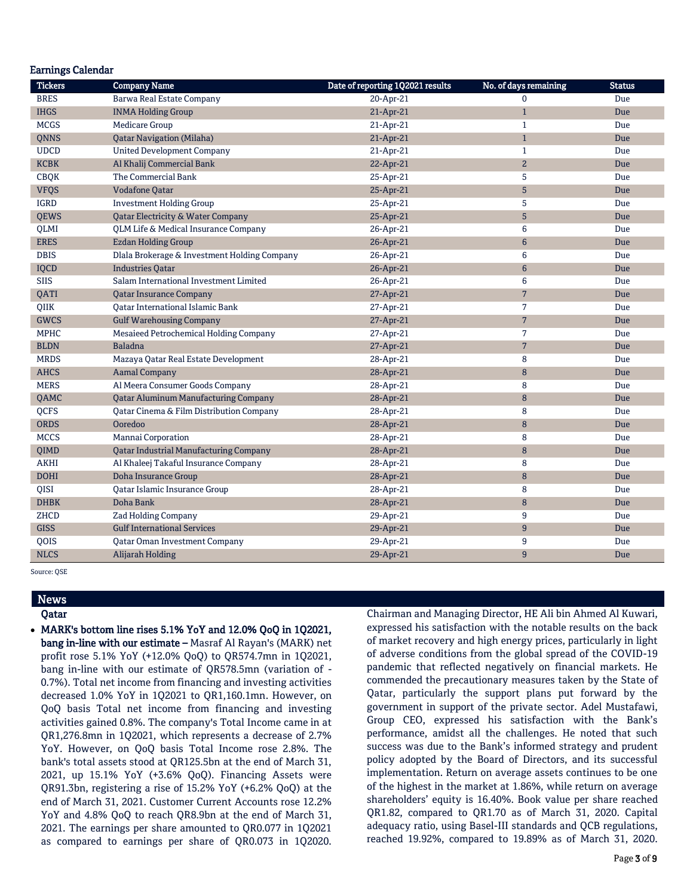| <b>Earnings Calendar</b> |                                               |                                  |                       |               |
|--------------------------|-----------------------------------------------|----------------------------------|-----------------------|---------------|
| <b>Tickers</b>           | <b>Company Name</b>                           | Date of reporting 1Q2021 results | No. of days remaining | <b>Status</b> |
| <b>BRES</b>              | Barwa Real Estate Company                     | 20-Apr-21                        | $\mathbf{0}$          | Due           |
| <b>IHGS</b>              | <b>INMA Holding Group</b>                     | 21-Apr-21                        | $\mathbf{1}$          | Due           |
| <b>MCGS</b>              | <b>Medicare Group</b>                         | 21-Apr-21                        | $\mathbf{1}$          | Due           |
| <b>ONNS</b>              | <b>Qatar Navigation (Milaha)</b>              | 21-Apr-21                        | $\mathbf{1}$          | Due           |
| <b>UDCD</b>              | <b>United Development Company</b>             | 21-Apr-21                        | $\mathbf{1}$          | Due           |
| <b>KCBK</b>              | Al Khalij Commercial Bank                     | 22-Apr-21                        | $\overline{a}$        | Due           |
| <b>CBQK</b>              | The Commercial Bank                           | 25-Apr-21                        | 5                     | Due           |
| <b>VFQS</b>              | <b>Vodafone Qatar</b>                         | 25-Apr-21                        | $\sqrt{5}$            | Due           |
| <b>IGRD</b>              | <b>Investment Holding Group</b>               | 25-Apr-21                        | 5                     | Due           |
| <b>QEWS</b>              | <b>Qatar Electricity &amp; Water Company</b>  | 25-Apr-21                        | 5                     | Due           |
| QLMI                     | QLM Life & Medical Insurance Company          | 26-Apr-21                        | 6                     | Due           |
| <b>ERES</b>              | <b>Ezdan Holding Group</b>                    | 26-Apr-21                        | $6\phantom{1}6$       | Due           |
| <b>DBIS</b>              | Dlala Brokerage & Investment Holding Company  | 26-Apr-21                        | 6                     | Due           |
| <b>IQCD</b>              | <b>Industries Qatar</b>                       | 26-Apr-21                        | $6\phantom{1}$        | Due           |
| <b>SIIS</b>              | Salam International Investment Limited        | 26-Apr-21                        | 6                     | Due           |
| QATI                     | <b>Qatar Insurance Company</b>                | 27-Apr-21                        | $7\overline{ }$       | Due           |
| QIIK                     | Qatar International Islamic Bank              | 27-Apr-21                        | $\overline{7}$        | Due           |
| <b>GWCS</b>              | <b>Gulf Warehousing Company</b>               | 27-Apr-21                        | $\overline{7}$        | Due           |
| <b>MPHC</b>              | Mesaieed Petrochemical Holding Company        | 27-Apr-21                        | 7                     | Due           |
| <b>BLDN</b>              | <b>Baladna</b>                                | 27-Apr-21                        | $7\phantom{.}$        | Due           |
| <b>MRDS</b>              | Mazaya Qatar Real Estate Development          | 28-Apr-21                        | 8                     | Due           |
| <b>AHCS</b>              | <b>Aamal Company</b>                          | 28-Apr-21                        | 8                     | Due           |
| <b>MERS</b>              | Al Meera Consumer Goods Company               | 28-Apr-21                        | 8                     | Due           |
| QAMC                     | <b>Qatar Aluminum Manufacturing Company</b>   | 28-Apr-21                        | $\, 8$                | Due           |
| QCFS                     | Qatar Cinema & Film Distribution Company      | 28-Apr-21                        | 8                     | Due           |
| <b>ORDS</b>              | Ooredoo                                       | 28-Apr-21                        | 8                     | <b>Due</b>    |
| <b>MCCS</b>              | Mannai Corporation                            | 28-Apr-21                        | 8                     | Due           |
| QIMD                     | <b>Qatar Industrial Manufacturing Company</b> | 28-Apr-21                        | 8                     | Due           |
| <b>AKHI</b>              | Al Khaleej Takaful Insurance Company          | 28-Apr-21                        | 8                     | Due           |
| <b>DOHI</b>              | <b>Doha Insurance Group</b>                   | 28-Apr-21                        | $\, 8$                | Due           |
| QISI                     | Qatar Islamic Insurance Group                 | 28-Apr-21                        | 8                     | Due           |
| <b>DHBK</b>              | Doha Bank                                     | 28-Apr-21                        | $\, 8$                | Due           |
| ZHCD                     | Zad Holding Company                           | 29-Apr-21                        | 9                     | Due           |
| <b>GISS</b>              | <b>Gulf International Services</b>            | 29-Apr-21                        | 9                     | Due           |
| QOIS                     | <b>Qatar Oman Investment Company</b>          | 29-Apr-21                        | 9                     | Due           |
| <b>NLCS</b>              | Alijarah Holding                              | 29-Apr-21                        | 9                     | Due           |

Source: QSE

## News Qatar

 MARK's bottom line rises 5.1% YoY and 12.0% QoQ in 1Q2021, bang in-line with our estimate – Masraf Al Rayan's (MARK) net profit rose 5.1% YoY (+12.0% QoQ) to QR574.7mn in 1Q2021, bang in-line with our estimate of QR578.5mn (variation of - 0.7%). Total net income from financing and investing activities decreased 1.0% YoY in 1Q2021 to QR1,160.1mn. However, on QoQ basis Total net income from financing and investing activities gained 0.8%. The company's Total Income came in at QR1,276.8mn in 1Q2021, which represents a decrease of 2.7% YoY. However, on QoQ basis Total Income rose 2.8%. The bank's total assets stood at QR125.5bn at the end of March 31, 2021, up 15.1% YoY (+3.6% QoQ). Financing Assets were QR91.3bn, registering a rise of 15.2% YoY (+6.2% QoQ) at the end of March 31, 2021. Customer Current Accounts rose 12.2% YoY and 4.8% QoQ to reach QR8.9bn at the end of March 31, 2021. The earnings per share amounted to QR0.077 in 1Q2021 as compared to earnings per share of QR0.073 in 1Q2020.

Chairman and Managing Director, HE Ali bin Ahmed Al Kuwari, expressed his satisfaction with the notable results on the back of market recovery and high energy prices, particularly in light of adverse conditions from the global spread of the COVID-19 pandemic that reflected negatively on financial markets. He commended the precautionary measures taken by the State of Qatar, particularly the support plans put forward by the government in support of the private sector. Adel Mustafawi, Group CEO, expressed his satisfaction with the Bank's performance, amidst all the challenges. He noted that such success was due to the Bank's informed strategy and prudent policy adopted by the Board of Directors, and its successful implementation. Return on average assets continues to be one of the highest in the market at 1.86%, while return on average shareholders' equity is 16.40%. Book value per share reached QR1.82, compared to QR1.70 as of March 31, 2020. Capital adequacy ratio, using Basel-III standards and QCB regulations, reached 19.92%, compared to 19.89% as of March 31, 2020.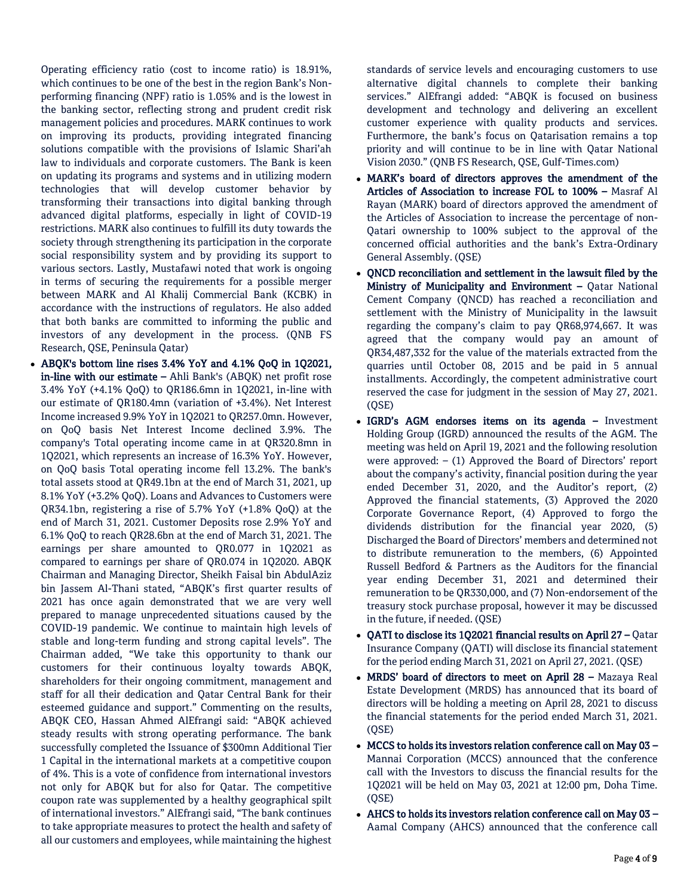Operating efficiency ratio (cost to income ratio) is 18.91%, which continues to be one of the best in the region Bank's Nonperforming financing (NPF) ratio is 1.05% and is the lowest in the banking sector, reflecting strong and prudent credit risk management policies and procedures. MARK continues to work on improving its products, providing integrated financing solutions compatible with the provisions of Islamic Shari'ah law to individuals and corporate customers. The Bank is keen on updating its programs and systems and in utilizing modern technologies that will develop customer behavior by transforming their transactions into digital banking through advanced digital platforms, especially in light of COVID-19 restrictions. MARK also continues to fulfill its duty towards the society through strengthening its participation in the corporate social responsibility system and by providing its support to various sectors. Lastly, Mustafawi noted that work is ongoing in terms of securing the requirements for a possible merger between MARK and Al Khalij Commercial Bank (KCBK) in accordance with the instructions of regulators. He also added that both banks are committed to informing the public and investors of any development in the process. (QNB FS Research, QSE, Peninsula Qatar)

 ABQK's bottom line rises 3.4% YoY and 4.1% QoQ in 1Q2021, in-line with our estimate – Ahli Bank's (ABQK) net profit rose 3.4% YoY (+4.1% QoQ) to QR186.6mn in 1Q2021, in-line with our estimate of QR180.4mn (variation of +3.4%). Net Interest Income increased 9.9% YoY in 1Q2021 to QR257.0mn. However, on QoQ basis Net Interest Income declined 3.9%. The company's Total operating income came in at QR320.8mn in 1Q2021, which represents an increase of 16.3% YoY. However, on QoQ basis Total operating income fell 13.2%. The bank's total assets stood at QR49.1bn at the end of March 31, 2021, up 8.1% YoY (+3.2% QoQ). Loans and Advances to Customers were QR34.1bn, registering a rise of 5.7% YoY (+1.8% QoQ) at the end of March 31, 2021. Customer Deposits rose 2.9% YoY and 6.1% QoQ to reach QR28.6bn at the end of March 31, 2021. The earnings per share amounted to QR0.077 in 1Q2021 as compared to earnings per share of QR0.074 in 1Q2020. ABQK Chairman and Managing Director, Sheikh Faisal bin AbdulAziz bin Jassem Al-Thani stated, "ABQK's first quarter results of 2021 has once again demonstrated that we are very well prepared to manage unprecedented situations caused by the COVID-19 pandemic. We continue to maintain high levels of stable and long-term funding and strong capital levels". The Chairman added, "We take this opportunity to thank our customers for their continuous loyalty towards ABQK, shareholders for their ongoing commitment, management and staff for all their dedication and Qatar Central Bank for their esteemed guidance and support." Commenting on the results, ABQK CEO, Hassan Ahmed AlEfrangi said: "ABQK achieved steady results with strong operating performance. The bank successfully completed the Issuance of \$300mn Additional Tier 1 Capital in the international markets at a competitive coupon of 4%. This is a vote of confidence from international investors not only for ABQK but for also for Qatar. The competitive coupon rate was supplemented by a healthy geographical spilt of international investors." AlEfrangi said, "The bank continues to take appropriate measures to protect the health and safety of all our customers and employees, while maintaining the highest

standards of service levels and encouraging customers to use alternative digital channels to complete their banking services." AlEfrangi added: "ABQK is focused on business development and technology and delivering an excellent customer experience with quality products and services. Furthermore, the bank's focus on Qatarisation remains a top priority and will continue to be in line with Qatar National Vision 2030." (QNB FS Research, QSE, Gulf-Times.com)

- MARK's board of directors approves the amendment of the Articles of Association to increase FOL to 100% – Masraf Al Rayan (MARK) board of directors approved the amendment of the Articles of Association to increase the percentage of non-Qatari ownership to 100% subject to the approval of the concerned official authorities and the bank's Extra-Ordinary General Assembly. (QSE)
- QNCD reconciliation and settlement in the lawsuit filed by the Ministry of Municipality and Environment - Qatar National Cement Company (QNCD) has reached a reconciliation and settlement with the Ministry of Municipality in the lawsuit regarding the company's claim to pay QR68,974,667. It was agreed that the company would pay an amount of QR34,487,332 for the value of the materials extracted from the quarries until October 08, 2015 and be paid in 5 annual installments. Accordingly, the competent administrative court reserved the case for judgment in the session of May 27, 2021. (QSE)
- IGRD's AGM endorses items on its agenda Investment Holding Group (IGRD) announced the results of the AGM. The meeting was held on April 19, 2021 and the following resolution were approved: – (1) Approved the Board of Directors' report about the company's activity, financial position during the year ended December 31, 2020, and the Auditor's report, (2) Approved the financial statements, (3) Approved the 2020 Corporate Governance Report, (4) Approved to forgo the dividends distribution for the financial year 2020, (5) Discharged the Board of Directors' members and determined not to distribute remuneration to the members, (6) Appointed Russell Bedford & Partners as the Auditors for the financial year ending December 31, 2021 and determined their remuneration to be QR330,000, and (7) Non-endorsement of the treasury stock purchase proposal, however it may be discussed in the future, if needed. (QSE)
- QATI to disclose its 1Q2021 financial results on April 27 Qatar Insurance Company (QATI) will disclose its financial statement for the period ending March 31, 2021 on April 27, 2021. (QSE)
- MRDS' board of directors to meet on April 28 Mazaya Real Estate Development (MRDS) has announced that its board of directors will be holding a meeting on April 28, 2021 to discuss the financial statements for the period ended March 31, 2021. (QSE)
- MCCS to holds its investors relation conference call on May 03 Mannai Corporation (MCCS) announced that the conference call with the Investors to discuss the financial results for the 1Q2021 will be held on May 03, 2021 at 12:00 pm, Doha Time. (QSE)
- AHCS to holds its investors relation conference call on May 03 Aamal Company (AHCS) announced that the conference call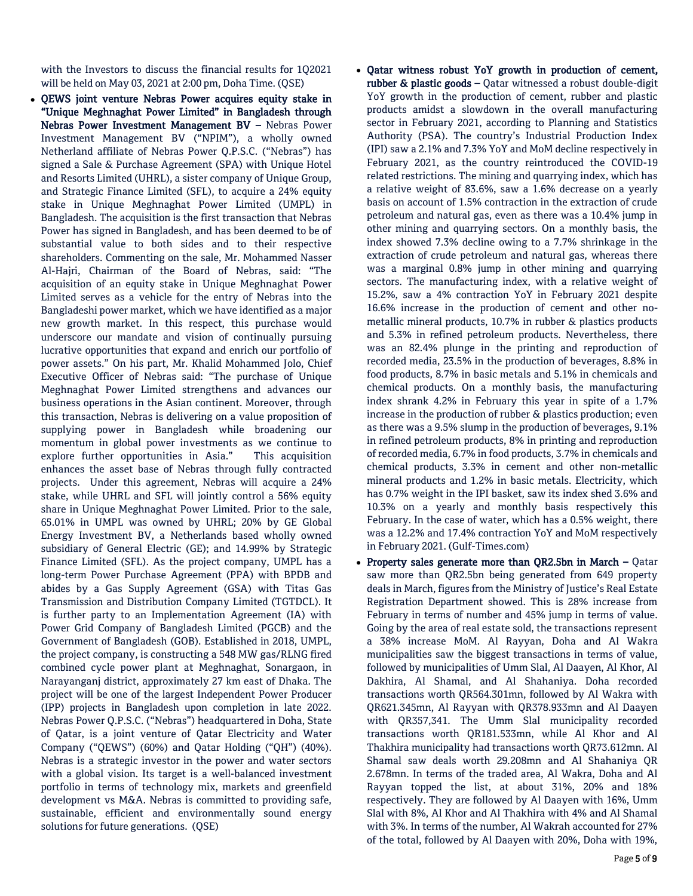with the Investors to discuss the financial results for 1Q2021 will be held on May 03, 2021 at 2:00 pm, Doha Time. (QSE)

- OEWS joint venture Nebras Power acquires equity stake in "Unique Meghnaghat Power Limited" in Bangladesh through Nebras Power Investment Management BV – Nebras Power Investment Management BV ("NPIM"), a wholly owned Netherland affiliate of Nebras Power Q.P.S.C. ("Nebras") has signed a Sale & Purchase Agreement (SPA) with Unique Hotel and Resorts Limited (UHRL), a sister company of Unique Group, and Strategic Finance Limited (SFL), to acquire a 24% equity stake in Unique Meghnaghat Power Limited (UMPL) in Bangladesh. The acquisition is the first transaction that Nebras Power has signed in Bangladesh, and has been deemed to be of substantial value to both sides and to their respective shareholders. Commenting on the sale, Mr. Mohammed Nasser Al-Hajri, Chairman of the Board of Nebras, said: "The acquisition of an equity stake in Unique Meghnaghat Power Limited serves as a vehicle for the entry of Nebras into the Bangladeshi power market, which we have identified as a major new growth market. In this respect, this purchase would underscore our mandate and vision of continually pursuing lucrative opportunities that expand and enrich our portfolio of power assets." On his part, Mr. Khalid Mohammed Jolo, Chief Executive Officer of Nebras said: "The purchase of Unique Meghnaghat Power Limited strengthens and advances our business operations in the Asian continent. Moreover, through this transaction, Nebras is delivering on a value proposition of supplying power in Bangladesh while broadening our momentum in global power investments as we continue to explore further opportunities in Asia." This acquisition enhances the asset base of Nebras through fully contracted projects. Under this agreement, Nebras will acquire a 24% stake, while UHRL and SFL will jointly control a 56% equity share in Unique Meghnaghat Power Limited. Prior to the sale, 65.01% in UMPL was owned by UHRL; 20% by GE Global Energy Investment BV, a Netherlands based wholly owned subsidiary of General Electric (GE); and 14.99% by Strategic Finance Limited (SFL). As the project company, UMPL has a long-term Power Purchase Agreement (PPA) with BPDB and abides by a Gas Supply Agreement (GSA) with Titas Gas Transmission and Distribution Company Limited (TGTDCL). It is further party to an Implementation Agreement (IA) with Power Grid Company of Bangladesh Limited (PGCB) and the Government of Bangladesh (GOB). Established in 2018, UMPL, the project company, is constructing a 548 MW gas/RLNG fired combined cycle power plant at Meghnaghat, Sonargaon, in Narayanganj district, approximately 27 km east of Dhaka. The project will be one of the largest Independent Power Producer (IPP) projects in Bangladesh upon completion in late 2022. Nebras Power Q.P.S.C. ("Nebras") headquartered in Doha, State of Qatar, is a joint venture of Qatar Electricity and Water Company ("QEWS") (60%) and Qatar Holding ("QH") (40%). Nebras is a strategic investor in the power and water sectors with a global vision. Its target is a well-balanced investment portfolio in terms of technology mix, markets and greenfield development vs M&A. Nebras is committed to providing safe, sustainable, efficient and environmentally sound energy solutions for future generations. (QSE)
- Qatar witness robust YoY growth in production of cement, rubber & plastic goods – Qatar witnessed a robust double-digit YoY growth in the production of cement, rubber and plastic products amidst a slowdown in the overall manufacturing sector in February 2021, according to Planning and Statistics Authority (PSA). The country's Industrial Production Index (IPI) saw a 2.1% and 7.3% YoY and MoM decline respectively in February 2021, as the country reintroduced the COVID-19 related restrictions. The mining and quarrying index, which has a relative weight of 83.6%, saw a 1.6% decrease on a yearly basis on account of 1.5% contraction in the extraction of crude petroleum and natural gas, even as there was a 10.4% jump in other mining and quarrying sectors. On a monthly basis, the index showed 7.3% decline owing to a 7.7% shrinkage in the extraction of crude petroleum and natural gas, whereas there was a marginal 0.8% jump in other mining and quarrying sectors. The manufacturing index, with a relative weight of 15.2%, saw a 4% contraction YoY in February 2021 despite 16.6% increase in the production of cement and other nometallic mineral products, 10.7% in rubber & plastics products and 5.3% in refined petroleum products. Nevertheless, there was an 82.4% plunge in the printing and reproduction of recorded media, 23.5% in the production of beverages, 8.8% in food products, 8.7% in basic metals and 5.1% in chemicals and chemical products. On a monthly basis, the manufacturing index shrank 4.2% in February this year in spite of a 1.7% increase in the production of rubber & plastics production; even as there was a 9.5% slump in the production of beverages, 9.1% in refined petroleum products, 8% in printing and reproduction of recorded media, 6.7% in food products, 3.7% in chemicals and chemical products, 3.3% in cement and other non-metallic mineral products and 1.2% in basic metals. Electricity, which has 0.7% weight in the IPI basket, saw its index shed 3.6% and 10.3% on a yearly and monthly basis respectively this February. In the case of water, which has a 0.5% weight, there was a 12.2% and 17.4% contraction YoY and MoM respectively in February 2021. (Gulf-Times.com)
- Property sales generate more than OR2.5bn in March  $-$  Oatar saw more than QR2.5bn being generated from 649 property deals in March, figures from the Ministry of Justice's Real Estate Registration Department showed. This is 28% increase from February in terms of number and 45% jump in terms of value. Going by the area of real estate sold, the transactions represent a 38% increase MoM. Al Rayyan, Doha and Al Wakra municipalities saw the biggest transactions in terms of value, followed by municipalities of Umm Slal, Al Daayen, Al Khor, Al Dakhira, Al Shamal, and Al Shahaniya. Doha recorded transactions worth QR564.301mn, followed by Al Wakra with QR621.345mn, Al Rayyan with QR378.933mn and Al Daayen with QR357,341. The Umm Slal municipality recorded transactions worth QR181.533mn, while Al Khor and Al Thakhira municipality had transactions worth QR73.612mn. Al Shamal saw deals worth 29.208mn and Al Shahaniya QR 2.678mn. In terms of the traded area, Al Wakra, Doha and Al Rayyan topped the list, at about 31%, 20% and 18% respectively. They are followed by Al Daayen with 16%, Umm Slal with 8%, Al Khor and Al Thakhira with 4% and Al Shamal with 3%. In terms of the number, Al Wakrah accounted for 27% of the total, followed by Al Daayen with 20%, Doha with 19%,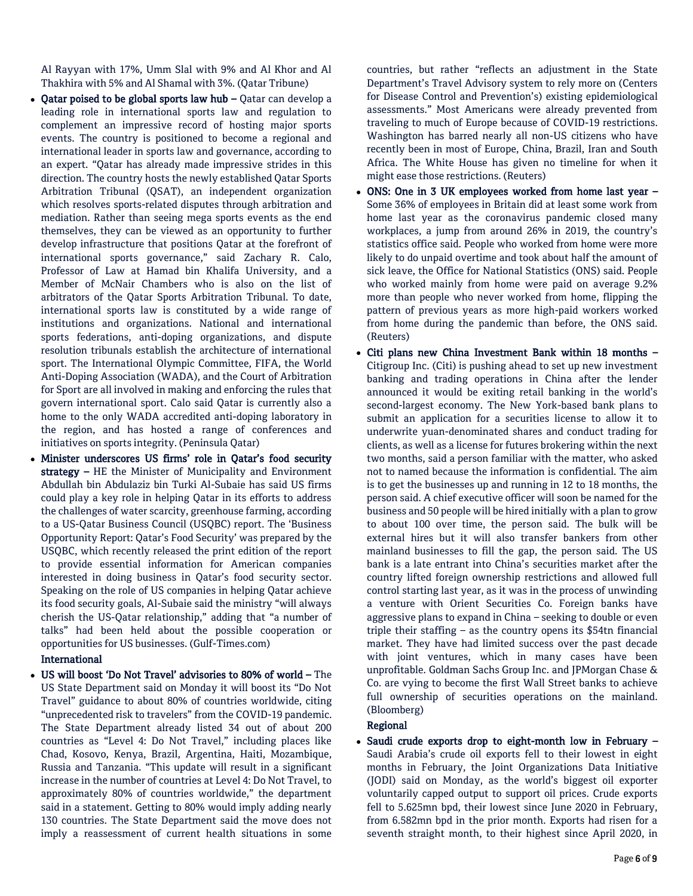Al Rayyan with 17%, Umm Slal with 9% and Al Khor and Al Thakhira with 5% and Al Shamal with 3%. (Qatar Tribune)

- Qatar poised to be global sports law hub Qatar can develop a leading role in international sports law and regulation to complement an impressive record of hosting major sports events. The country is positioned to become a regional and international leader in sports law and governance, according to an expert. "Qatar has already made impressive strides in this direction. The country hosts the newly established Qatar Sports Arbitration Tribunal (QSAT), an independent organization which resolves sports-related disputes through arbitration and mediation. Rather than seeing mega sports events as the end themselves, they can be viewed as an opportunity to further develop infrastructure that positions Qatar at the forefront of international sports governance," said Zachary R. Calo, Professor of Law at Hamad bin Khalifa University, and a Member of McNair Chambers who is also on the list of arbitrators of the Qatar Sports Arbitration Tribunal. To date, international sports law is constituted by a wide range of institutions and organizations. National and international sports federations, anti-doping organizations, and dispute resolution tribunals establish the architecture of international sport. The International Olympic Committee, FIFA, the World Anti-Doping Association (WADA), and the Court of Arbitration for Sport are all involved in making and enforcing the rules that govern international sport. Calo said Qatar is currently also a home to the only WADA accredited anti-doping laboratory in the region, and has hosted a range of conferences and initiatives on sports integrity. (Peninsula Qatar)
- Minister underscores US firms' role in Qatar's food security strategy – HE the Minister of Municipality and Environment Abdullah bin Abdulaziz bin Turki Al-Subaie has said US firms could play a key role in helping Qatar in its efforts to address the challenges of water scarcity, greenhouse farming, according to a US-Qatar Business Council (USQBC) report. The 'Business Opportunity Report: Qatar's Food Security' was prepared by the USQBC, which recently released the print edition of the report to provide essential information for American companies interested in doing business in Qatar's food security sector. Speaking on the role of US companies in helping Qatar achieve its food security goals, Al-Subaie said the ministry "will always cherish the US-Qatar relationship," adding that "a number of talks" had been held about the possible cooperation or opportunities for US businesses. (Gulf-Times.com)

## International

 US will boost 'Do Not Travel' advisories to 80% of world – The US State Department said on Monday it will boost its "Do Not Travel" guidance to about 80% of countries worldwide, citing "unprecedented risk to travelers" from the COVID-19 pandemic. The State Department already listed 34 out of about 200 countries as "Level 4: Do Not Travel," including places like Chad, Kosovo, Kenya, Brazil, Argentina, Haiti, Mozambique, Russia and Tanzania. "This update will result in a significant increase in the number of countries at Level 4: Do Not Travel, to approximately 80% of countries worldwide," the department said in a statement. Getting to 80% would imply adding nearly 130 countries. The State Department said the move does not imply a reassessment of current health situations in some

countries, but rather "reflects an adjustment in the State Department's Travel Advisory system to rely more on (Centers for Disease Control and Prevention's) existing epidemiological assessments." Most Americans were already prevented from traveling to much of Europe because of COVID-19 restrictions. Washington has barred nearly all non-US citizens who have recently been in most of Europe, China, Brazil, Iran and South Africa. The White House has given no timeline for when it might ease those restrictions. (Reuters)

- ONS: One in 3 UK employees worked from home last year Some 36% of employees in Britain did at least some work from home last year as the coronavirus pandemic closed many workplaces, a jump from around 26% in 2019, the country's statistics office said. People who worked from home were more likely to do unpaid overtime and took about half the amount of sick leave, the Office for National Statistics (ONS) said. People who worked mainly from home were paid on average 9.2% more than people who never worked from home, flipping the pattern of previous years as more high-paid workers worked from home during the pandemic than before, the ONS said. (Reuters)
- Citi plans new China Investment Bank within 18 months Citigroup Inc. (Citi) is pushing ahead to set up new investment banking and trading operations in China after the lender announced it would be exiting retail banking in the world's second-largest economy. The New York-based bank plans to submit an application for a securities license to allow it to underwrite yuan-denominated shares and conduct trading for clients, as well as a license for futures brokering within the next two months, said a person familiar with the matter, who asked not to named because the information is confidential. The aim is to get the businesses up and running in 12 to 18 months, the person said. A chief executive officer will soon be named for the business and 50 people will be hired initially with a plan to grow to about 100 over time, the person said. The bulk will be external hires but it will also transfer bankers from other mainland businesses to fill the gap, the person said. The US bank is a late entrant into China's securities market after the country lifted foreign ownership restrictions and allowed full control starting last year, as it was in the process of unwinding a venture with Orient Securities Co. Foreign banks have aggressive plans to expand in China – seeking to double or even triple their staffing – as the country opens its \$54tn financial market. They have had limited success over the past decade with joint ventures, which in many cases have been unprofitable. Goldman Sachs Group Inc. and JPMorgan Chase & Co. are vying to become the first Wall Street banks to achieve full ownership of securities operations on the mainland. (Bloomberg)

## Regional

 Saudi crude exports drop to eight-month low in February – Saudi Arabia's crude oil exports fell to their lowest in eight months in February, the Joint Organizations Data Initiative (JODI) said on Monday, as the world's biggest oil exporter voluntarily capped output to support oil prices. Crude exports fell to 5.625mn bpd, their lowest since June 2020 in February, from 6.582mn bpd in the prior month. Exports had risen for a seventh straight month, to their highest since April 2020, in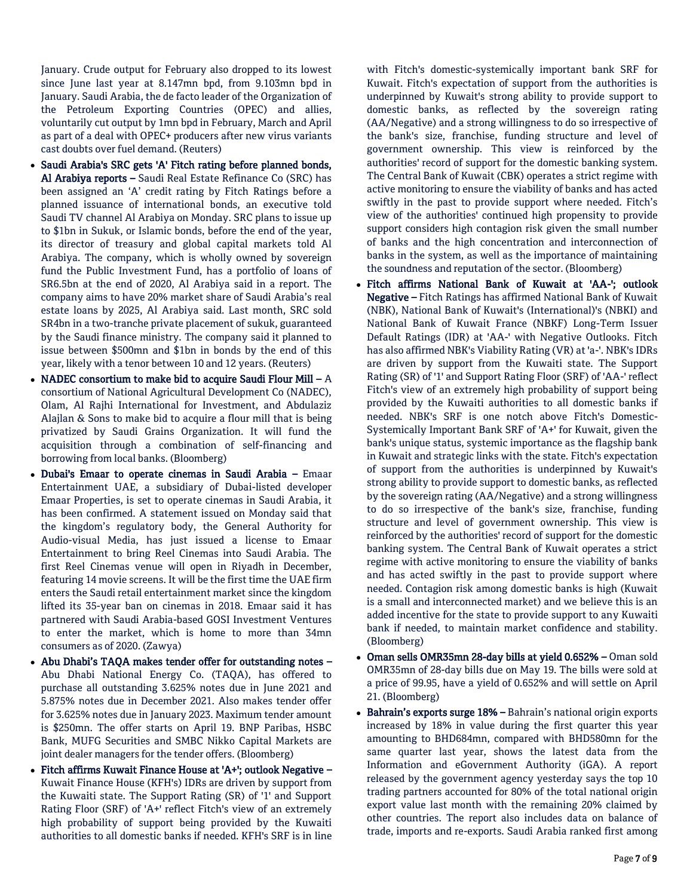January. Crude output for February also dropped to its lowest since June last year at 8.147mn bpd, from 9.103mn bpd in January. Saudi Arabia, the de facto leader of the Organization of the Petroleum Exporting Countries (OPEC) and allies, voluntarily cut output by 1mn bpd in February, March and April as part of a deal with OPEC+ producers after new virus variants cast doubts over fuel demand. (Reuters)

- Saudi Arabia's SRC gets 'A' Fitch rating before planned bonds, Al Arabiya reports - Saudi Real Estate Refinance Co (SRC) has been assigned an 'A' credit rating by Fitch Ratings before a planned issuance of international bonds, an executive told Saudi TV channel Al Arabiya on Monday. SRC plans to issue up to \$1bn in Sukuk, or Islamic bonds, before the end of the year, its director of treasury and global capital markets told Al Arabiya. The company, which is wholly owned by sovereign fund the Public Investment Fund, has a portfolio of loans of SR6.5bn at the end of 2020, Al Arabiya said in a report. The company aims to have 20% market share of Saudi Arabia's real estate loans by 2025, Al Arabiya said. Last month, SRC sold SR4bn in a two-tranche private placement of sukuk, guaranteed by the Saudi finance ministry. The company said it planned to issue between \$500mn and \$1bn in bonds by the end of this year, likely with a tenor between 10 and 12 years. (Reuters)
- NADEC consortium to make bid to acquire Saudi Flour Mill A consortium of National Agricultural Development Co (NADEC), Olam, Al Rajhi International for Investment, and Abdulaziz Alajlan & Sons to make bid to acquire a flour mill that is being privatized by Saudi Grains Organization. It will fund the acquisition through a combination of self-financing and borrowing from local banks. (Bloomberg)
- Dubai's Emaar to operate cinemas in Saudi Arabia Emaar Entertainment UAE, a subsidiary of Dubai-listed developer Emaar Properties, is set to operate cinemas in Saudi Arabia, it has been confirmed. A statement issued on Monday said that the kingdom's regulatory body, the General Authority for Audio-visual Media, has just issued a license to Emaar Entertainment to bring Reel Cinemas into Saudi Arabia. The first Reel Cinemas venue will open in Riyadh in December, featuring 14 movie screens. It will be the first time the UAE firm enters the Saudi retail entertainment market since the kingdom lifted its 35-year ban on cinemas in 2018. Emaar said it has partnered with Saudi Arabia-based GOSI Investment Ventures to enter the market, which is home to more than 34mn consumers as of 2020. (Zawya)
- Abu Dhabi's TAQA makes tender offer for outstanding notes Abu Dhabi National Energy Co. (TAQA), has offered to purchase all outstanding 3.625% notes due in June 2021 and 5.875% notes due in December 2021. Also makes tender offer for 3.625% notes due in January 2023. Maximum tender amount is \$250mn. The offer starts on April 19. BNP Paribas, HSBC Bank, MUFG Securities and SMBC Nikko Capital Markets are joint dealer managers for the tender offers. (Bloomberg)
- Fitch affirms Kuwait Finance House at 'A+'; outlook Negative Kuwait Finance House (KFH's) IDRs are driven by support from the Kuwaiti state. The Support Rating (SR) of '1' and Support Rating Floor (SRF) of 'A+' reflect Fitch's view of an extremely high probability of support being provided by the Kuwaiti authorities to all domestic banks if needed. KFH's SRF is in line

with Fitch's domestic-systemically important bank SRF for Kuwait. Fitch's expectation of support from the authorities is underpinned by Kuwait's strong ability to provide support to domestic banks, as reflected by the sovereign rating (AA/Negative) and a strong willingness to do so irrespective of the bank's size, franchise, funding structure and level of government ownership. This view is reinforced by the authorities' record of support for the domestic banking system. The Central Bank of Kuwait (CBK) operates a strict regime with active monitoring to ensure the viability of banks and has acted swiftly in the past to provide support where needed. Fitch's view of the authorities' continued high propensity to provide support considers high contagion risk given the small number of banks and the high concentration and interconnection of banks in the system, as well as the importance of maintaining the soundness and reputation of the sector. (Bloomberg)

- Fitch affirms National Bank of Kuwait at 'AA-'; outlook Negative – Fitch Ratings has affirmed National Bank of Kuwait (NBK), National Bank of Kuwait's (International)'s (NBKI) and National Bank of Kuwait France (NBKF) Long-Term Issuer Default Ratings (IDR) at 'AA-' with Negative Outlooks. Fitch has also affirmed NBK's Viability Rating (VR) at 'a-'. NBK's IDRs are driven by support from the Kuwaiti state. The Support Rating (SR) of '1' and Support Rating Floor (SRF) of 'AA-' reflect Fitch's view of an extremely high probability of support being provided by the Kuwaiti authorities to all domestic banks if needed. NBK's SRF is one notch above Fitch's Domestic-Systemically Important Bank SRF of 'A+' for Kuwait, given the bank's unique status, systemic importance as the flagship bank in Kuwait and strategic links with the state. Fitch's expectation of support from the authorities is underpinned by Kuwait's strong ability to provide support to domestic banks, as reflected by the sovereign rating (AA/Negative) and a strong willingness to do so irrespective of the bank's size, franchise, funding structure and level of government ownership. This view is reinforced by the authorities' record of support for the domestic banking system. The Central Bank of Kuwait operates a strict regime with active monitoring to ensure the viability of banks and has acted swiftly in the past to provide support where needed. Contagion risk among domestic banks is high (Kuwait is a small and interconnected market) and we believe this is an added incentive for the state to provide support to any Kuwaiti bank if needed, to maintain market confidence and stability. (Bloomberg)
- Oman sells OMR35mn 28-day bills at yield 0.652% Oman sold OMR35mn of 28-day bills due on May 19. The bills were sold at a price of 99.95, have a yield of 0.652% and will settle on April 21. (Bloomberg)
- Bahrain's exports surge 18% Bahrain's national origin exports increased by 18% in value during the first quarter this year amounting to BHD684mn, compared with BHD580mn for the same quarter last year, shows the latest data from the Information and eGovernment Authority (iGA). A report released by the government agency yesterday says the top 10 trading partners accounted for 80% of the total national origin export value last month with the remaining 20% claimed by other countries. The report also includes data on balance of trade, imports and re-exports. Saudi Arabia ranked first among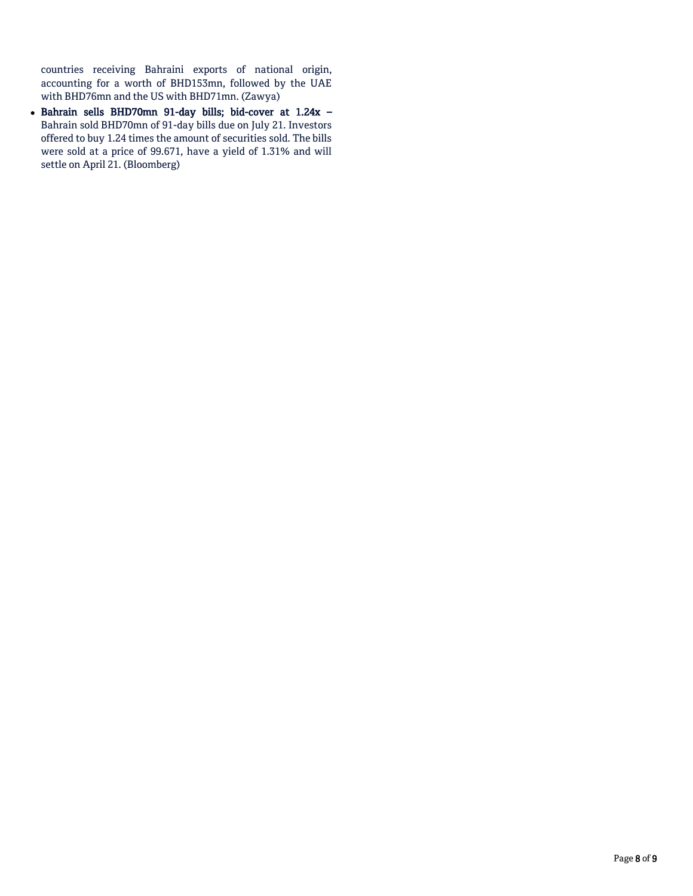countries receiving Bahraini exports of national origin, accounting for a worth of BHD153mn, followed by the UAE with BHD76mn and the US with BHD71mn. (Zawya)

 Bahrain sells BHD70mn 91-day bills; bid-cover at 1.24x – Bahrain sold BHD70mn of 91-day bills due on July 21. Investors offered to buy 1.24 times the amount of securities sold. The bills were sold at a price of 99.671, have a yield of 1.31% and will settle on April 21. (Bloomberg)